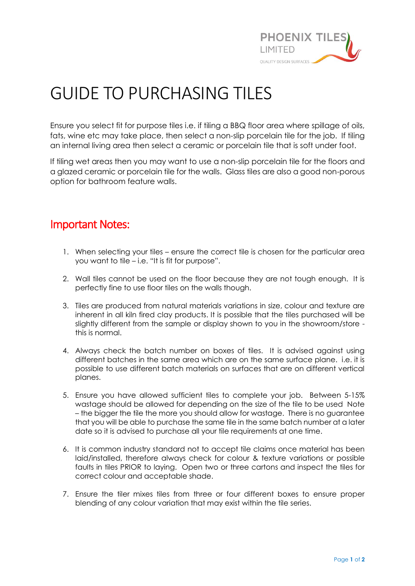

## GUIDE TO PURCHASING TILES

Ensure you select fit for purpose tiles i.e. if tiling a BBQ floor area where spillage of oils, fats, wine etc may take place, then select a non-slip porcelain tile for the job. If tiling an internal living area then select a ceramic or porcelain tile that is soft under foot.

If tiling wet areas then you may want to use a non-slip porcelain tile for the floors and a glazed ceramic or porcelain tile for the walls. Glass tiles are also a good non-porous option for bathroom feature walls.

## Important Notes:

- 1. When selecting your tiles ensure the correct tile is chosen for the particular area you want to tile – i.e. "It is fit for purpose".
- 2. Wall tiles cannot be used on the floor because they are not tough enough. It is perfectly fine to use floor tiles on the walls though.
- 3. Tiles are produced from natural materials variations in size, colour and texture are inherent in all kiln fired clay products. It is possible that the tiles purchased will be slightly different from the sample or display shown to you in the showroom/store this is normal.
- 4. Always check the batch number on boxes of tiles. It is advised against using different batches in the same area which are on the same surface plane. i.e. it is possible to use different batch materials on surfaces that are on different vertical planes.
- 5. Ensure you have allowed sufficient tiles to complete your job. Between 5-15% wastage should be allowed for depending on the size of the tile to be used Note – the bigger the tile the more you should allow for wastage. There is no guarantee that you will be able to purchase the same tile in the same batch number at a later date so it is advised to purchase all your tile requirements at one time.
- 6. It is common industry standard not to accept tile claims once material has been laid/installed, therefore always check for colour & texture variations or possible faults in tiles PRIOR to laying. Open two or three cartons and inspect the tiles for correct colour and acceptable shade.
- 7. Ensure the tiler mixes tiles from three or four different boxes to ensure proper blending of any colour variation that may exist within the tile series.